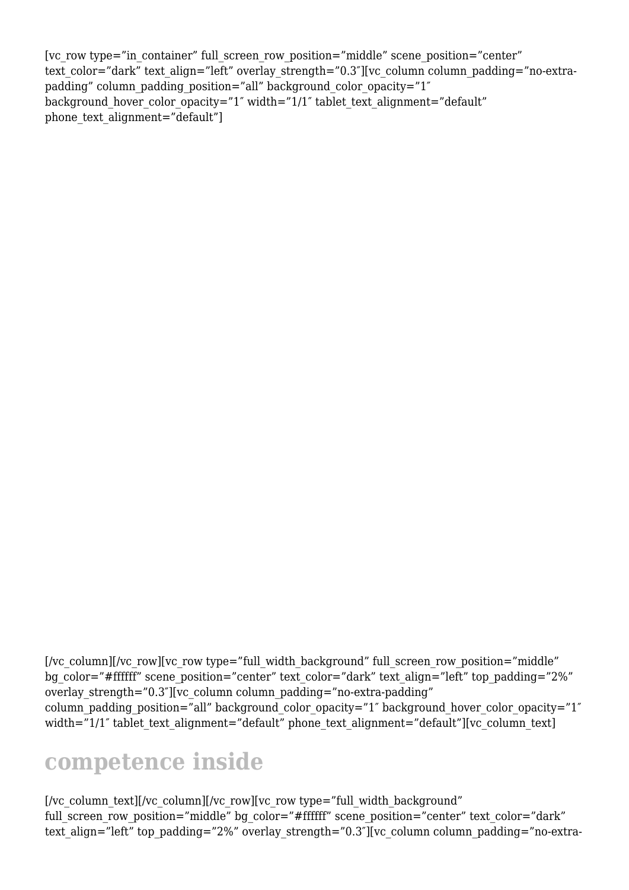[vc\_row type="in\_container" full\_screen\_row\_position="middle" scene\_position="center" text color="dark" text align="left" overlay strength="0.3"][vc column column padding="no-extrapadding" column padding position="all" background color opacity="1" background hover color opacity="1" width="1/1" tablet text alignment="default" phone text alignment="default"]

[/vc\_column\_text][/vc\_column][/vc\_row][vc\_row type="full\_width\_background" full screen row position="middle" bg color="#ffffff" scene position="center" text color="dark"

text align="left" top\_padding="2%" overlay\_strength="0.3"][vc\_column column padding="no-extra-

# **competence inside**

bg\_color="#ffffff" scene\_position="center" text\_color="dark" text\_align="left" top\_padding="2%" overlay strength="0.3"][vc\_column column padding="no-extra-padding" column padding position="all" background color opacity="1" background hover color opacity="1" width="1/1" tablet text alignment="default" phone text alignment="default"][vc\_column\_text]

 $[$ /vc\_column] $[$ /vc\_row] $[$ vc\_row type="full\_width\_background" full\_screen\_row\_position="middle"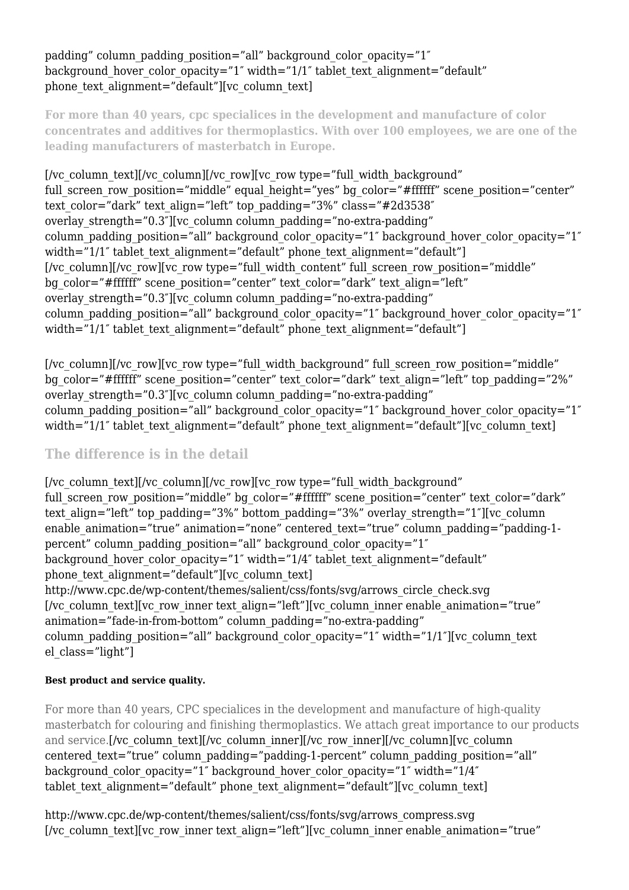## padding" column padding position="all" background color opacity="1" background hover color opacity="1" width="1/1" tablet text alignment="default" phone text alignment="default"][vc\_column\_text]

**For more than 40 years, cpc specialices in the development and manufacture of color concentrates and additives for thermoplastics. With over 100 employees, we are one of the leading manufacturers of masterbatch in Europe.**

[/vc\_column\_text][/vc\_column][/vc\_row][vc\_row type="full\_width\_background" full screen row position="middle" equal height="yes" bg color="#ffffff" scene position="center" text color="dark" text align="left" top\_padding="3%" class="#2d3538" overlay strength="0.3"][vc\_column column padding="no-extra-padding" column padding position="all" background color opacity="1" background hover color opacity="1" width="1/1" tablet text alignment="default" phone text alignment="default"]  $\frac{1}{x}$  [/vc\_column][/vc\_row][vc\_row\_type="full\_width\_content" full\_screen\_row\_position="middle" bg color="#ffffff" scene position="center" text color="dark" text align="left" overlay strength="0.3"][vc\_column column padding="no-extra-padding" column padding position="all" background color opacity="1" background hover color opacity="1" width="1/1" tablet text alignment="default" phone text alignment="default"]

[/vc\_column][/vc\_row][vc\_row type="full\_width\_background" full\_screen\_row\_position="middle" bg\_color="#ffffff" scene\_position="center" text\_color="dark" text\_align="left" top\_padding="2%" overlay strength="0.3"][vc\_column column padding="no-extra-padding" column padding position="all" background color opacity="1" background hover color opacity="1" width="1/1" tablet text alignment="default" phone text alignment="default"][vc\_column\_text]

## **The difference is in the detail**

[/vc\_column\_text][/vc\_column][/vc\_row][vc\_row type="full\_width\_background" full screen row position="middle" bg color="#ffffff" scene position="center" text color="dark" text align="left" top\_padding="3%" bottom\_padding="3%" overlay\_strength="1"][vc\_column enable animation="true" animation="none" centered text="true" column padding="padding-1percent" column padding position="all" background color opacity="1" background hover color opacity="1" width="1/4" tablet text alignment="default" phone text alignment="default"][vc\_column\_text] http://www.cpc.de/wp-content/themes/salient/css/fonts/svg/arrows\_circle\_check.svg [/vc\_column\_text][vc\_row\_inner text\_align="left"][vc\_column\_inner enable\_animation="true" animation="fade-in-from-bottom" column\_padding="no-extra-padding" column padding position="all" background color opacity="1" width="1/1"][vc\_column\_text el class="light"]

## **Best product and service quality.**

For more than 40 years, CPC specialices in the development and manufacture of high-quality masterbatch for colouring and finishing thermoplastics. We attach great importance to our products and service.[/vc\_column\_text][/vc\_column\_inner][/vc\_row\_inner][/vc\_column][vc\_column] centered text="true" column\_padding="padding-1-percent" column\_padding\_position="all" background color opacity="1" background hover color opacity="1" width="1/4" tablet text alignment="default" phone text alignment="default"][vc\_column\_text]

http://www.cpc.de/wp-content/themes/salient/css/fonts/svg/arrows\_compress.svg [/vc\_column\_text][vc\_row\_inner text\_align="left"][vc\_column\_inner enable\_animation="true"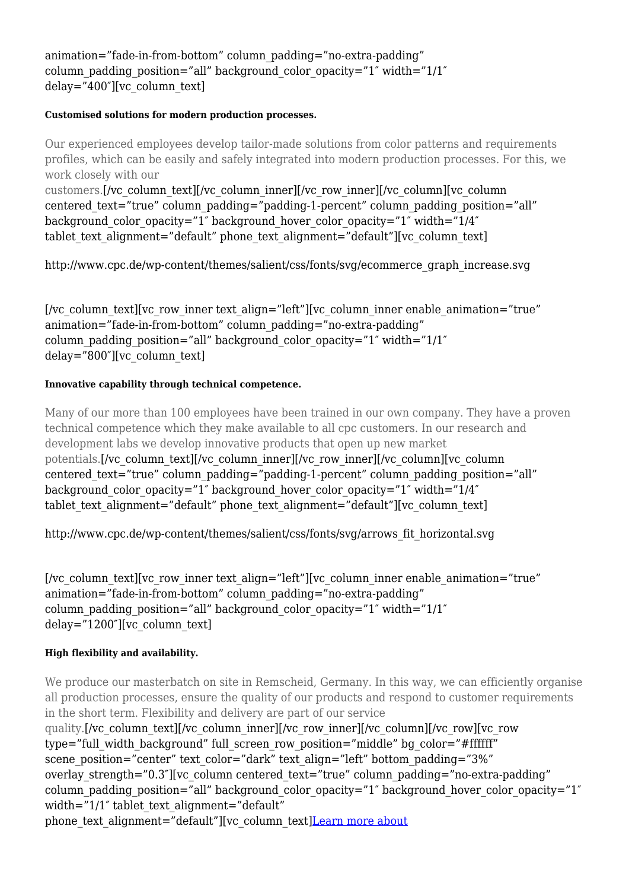animation="fade-in-from-bottom" column\_padding="no-extra-padding" column padding position="all" background color opacity="1" width=" $1/1$ " delay="400″][vc\_column\_text]

#### **Customised solutions for modern production processes.**

Our experienced employees develop tailor-made solutions from color patterns and requirements profiles, which can be easily and safely integrated into modern production processes. For this, we work closely with our customers.[/vc\_column\_text][/vc\_column\_inner][/vc\_row\_inner][/vc\_column][vc\_column centered text="true" column padding="padding-1-percent" column padding position="all" background color opacity="1" background hover color opacity="1" width="1/4" tablet text alignment="default" phone text alignment="default"][vc\_column\_text]

http://www.cpc.de/wp-content/themes/salient/css/fonts/svg/ecommerce\_graph\_increase.svg

[/vc\_column\_text][vc\_row\_inner text\_align="left"][vc\_column\_inner enable\_animation="true" animation="fade-in-from-bottom" column\_padding="no-extra-padding" column padding position="all" background color opacity="1" width=" $1/1$ " delay="800″][vc\_column\_text]

### **Innovative capability through technical competence.**

Many of our more than 100 employees have been trained in our own company. They have a proven technical competence which they make available to all cpc customers. In our research and development labs we develop innovative products that open up new market potentials. [/vc\_column\_text][/vc\_column\_inner][/vc\_row\_inner][/vc\_column][vc\_column] centered text="true" column padding="padding-1-percent" column padding position="all" background color opacity="1" background hover color opacity="1" width="1/4" tablet text alignment="default" phone text alignment="default"][vc\_column\_text]

http://www.cpc.de/wp-content/themes/salient/css/fonts/svg/arrows\_fit\_horizontal.svg

[/vc\_column\_text][vc\_row\_inner text\_align="left"][vc\_column\_inner enable\_animation="true" animation="fade-in-from-bottom" column\_padding="no-extra-padding" column padding position="all" background color opacity="1" width=" $1/1$ " delay="1200″][vc\_column\_text]

#### **High flexibility and availability.**

We produce our masterbatch on site in Remscheid, Germany. In this way, we can efficiently organise all production processes, ensure the quality of our products and respond to customer requirements in the short term. Flexibility and delivery are part of our service

quality.[/vc\_column\_text][/vc\_column\_inner][/vc\_row\_inner][/vc\_column][/vc\_row][vc\_row type="full\_width\_background" full\_screen\_row\_position="middle" bg\_color="#ffffff" scene position="center" text color="dark" text align="left" bottom padding="3%" overlay strength="0.3"][vc\_column centered\_text="true" column\_padding="no-extra-padding" column padding position="all" background color opacity="1" background hover color opacity="1" width="1/1" tablet text alignment="default"

phone text alignment="default"][vc\_column\_text][Learn more about](http://192.168.20.10/?portfolio=cpc)